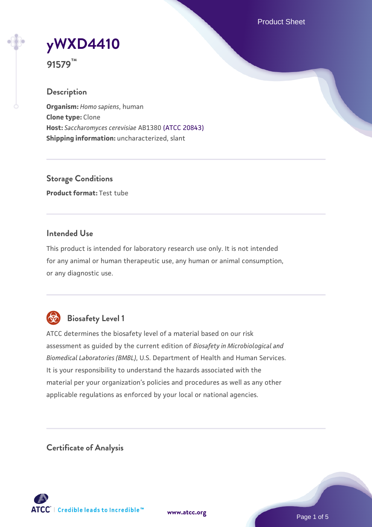Product Sheet



**91579™**

### **Description**

**Organism:** *Homo sapiens*, human **Clone type:** Clone **Host:** *Saccharomyces cerevisiae* AB1380 [\(ATCC 20843\)](https://www.atcc.org/products/20843) **Shipping information:** uncharacterized, slant

**Storage Conditions Product format:** Test tube

### **Intended Use**

This product is intended for laboratory research use only. It is not intended for any animal or human therapeutic use, any human or animal consumption, or any diagnostic use.



# **Biosafety Level 1**

ATCC determines the biosafety level of a material based on our risk assessment as guided by the current edition of *Biosafety in Microbiological and Biomedical Laboratories (BMBL)*, U.S. Department of Health and Human Services. It is your responsibility to understand the hazards associated with the material per your organization's policies and procedures as well as any other applicable regulations as enforced by your local or national agencies.

**Certificate of Analysis**

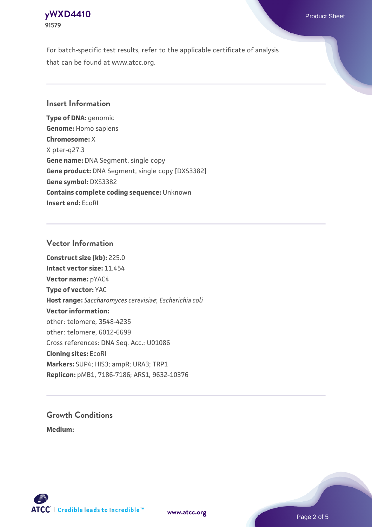### **[yWXD4410](https://www.atcc.org/products/91579)** Product Sheet **91579**

For batch-specific test results, refer to the applicable certificate of analysis that can be found at www.atcc.org.

### **Insert Information**

**Type of DNA:** genomic **Genome:** Homo sapiens **Chromosome:** X X pter-q27.3 **Gene name:** DNA Segment, single copy **Gene product:** DNA Segment, single copy [DXS3382] **Gene symbol:** DXS3382 **Contains complete coding sequence:** Unknown **Insert end:** EcoRI

#### **Vector Information**

**Construct size (kb):** 225.0 **Intact vector size:** 11.454 **Vector name:** pYAC4 **Type of vector:** YAC **Host range:** *Saccharomyces cerevisiae*; *Escherichia coli* **Vector information:** other: telomere, 3548-4235 other: telomere, 6012-6699 Cross references: DNA Seq. Acc.: U01086 **Cloning sites:** EcoRI **Markers:** SUP4; HIS3; ampR; URA3; TRP1 **Replicon:** pMB1, 7186-7186; ARS1, 9632-10376

# **Growth Conditions**

**Medium:** 



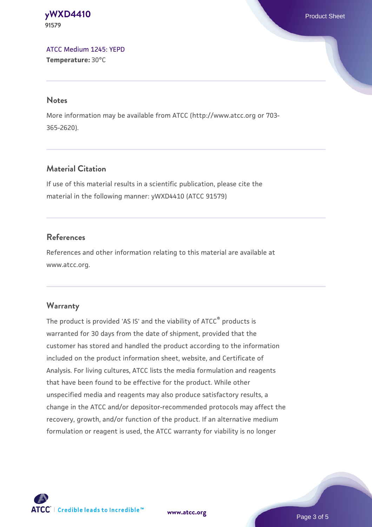#### **[yWXD4410](https://www.atcc.org/products/91579)** Product Sheet **91579**

[ATCC Medium 1245: YEPD](https://www.atcc.org/-/media/product-assets/documents/microbial-media-formulations/1/2/4/5/atcc-medium-1245.pdf?rev=705ca55d1b6f490a808a965d5c072196) **Temperature:** 30°C

#### **Notes**

More information may be available from ATCC (http://www.atcc.org or 703- 365-2620).

# **Material Citation**

If use of this material results in a scientific publication, please cite the material in the following manner: yWXD4410 (ATCC 91579)

# **References**

References and other information relating to this material are available at www.atcc.org.

# **Warranty**

The product is provided 'AS IS' and the viability of ATCC® products is warranted for 30 days from the date of shipment, provided that the customer has stored and handled the product according to the information included on the product information sheet, website, and Certificate of Analysis. For living cultures, ATCC lists the media formulation and reagents that have been found to be effective for the product. While other unspecified media and reagents may also produce satisfactory results, a change in the ATCC and/or depositor-recommended protocols may affect the recovery, growth, and/or function of the product. If an alternative medium formulation or reagent is used, the ATCC warranty for viability is no longer



**[www.atcc.org](http://www.atcc.org)**

Page 3 of 5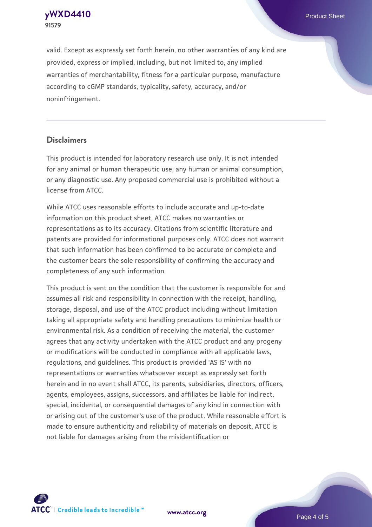**[yWXD4410](https://www.atcc.org/products/91579)** Product Sheet **91579**

valid. Except as expressly set forth herein, no other warranties of any kind are provided, express or implied, including, but not limited to, any implied warranties of merchantability, fitness for a particular purpose, manufacture according to cGMP standards, typicality, safety, accuracy, and/or noninfringement.

#### **Disclaimers**

This product is intended for laboratory research use only. It is not intended for any animal or human therapeutic use, any human or animal consumption, or any diagnostic use. Any proposed commercial use is prohibited without a license from ATCC.

While ATCC uses reasonable efforts to include accurate and up-to-date information on this product sheet, ATCC makes no warranties or representations as to its accuracy. Citations from scientific literature and patents are provided for informational purposes only. ATCC does not warrant that such information has been confirmed to be accurate or complete and the customer bears the sole responsibility of confirming the accuracy and completeness of any such information.

This product is sent on the condition that the customer is responsible for and assumes all risk and responsibility in connection with the receipt, handling, storage, disposal, and use of the ATCC product including without limitation taking all appropriate safety and handling precautions to minimize health or environmental risk. As a condition of receiving the material, the customer agrees that any activity undertaken with the ATCC product and any progeny or modifications will be conducted in compliance with all applicable laws, regulations, and guidelines. This product is provided 'AS IS' with no representations or warranties whatsoever except as expressly set forth herein and in no event shall ATCC, its parents, subsidiaries, directors, officers, agents, employees, assigns, successors, and affiliates be liable for indirect, special, incidental, or consequential damages of any kind in connection with or arising out of the customer's use of the product. While reasonable effort is made to ensure authenticity and reliability of materials on deposit, ATCC is not liable for damages arising from the misidentification or



**[www.atcc.org](http://www.atcc.org)**

Page 4 of 5